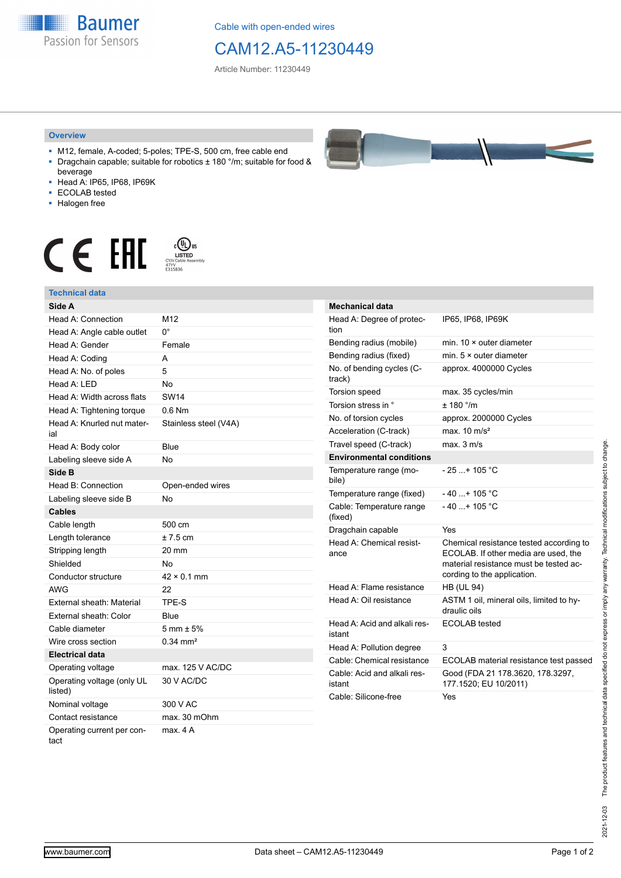**Baumer** Passion for Sensors

Cable with open-ended wires

## CAM12.A5-11230449

Article Number: 11230449

## **Overview**

- M12, female, A-coded; 5-poles; TPE-S, 500 cm, free cable end Dragchain capable; suitable for robotics  $\pm$  180 °/m; suitable for food &
- beverage ■ Head A: IP65, IP68, IP69K
- ECOLAB tested
- Halogen free
- 

## $\mathsf{C} \in \mathsf{FIL}$







**Electrical data**

listed)

tact

Operating voltage (only UL

Operating current per con-

Operating voltage max. 125 V AC/DC

Nominal voltage 300 V AC Contact resistance max. 30 mOhm

30 V AC/DC

max. 4 A